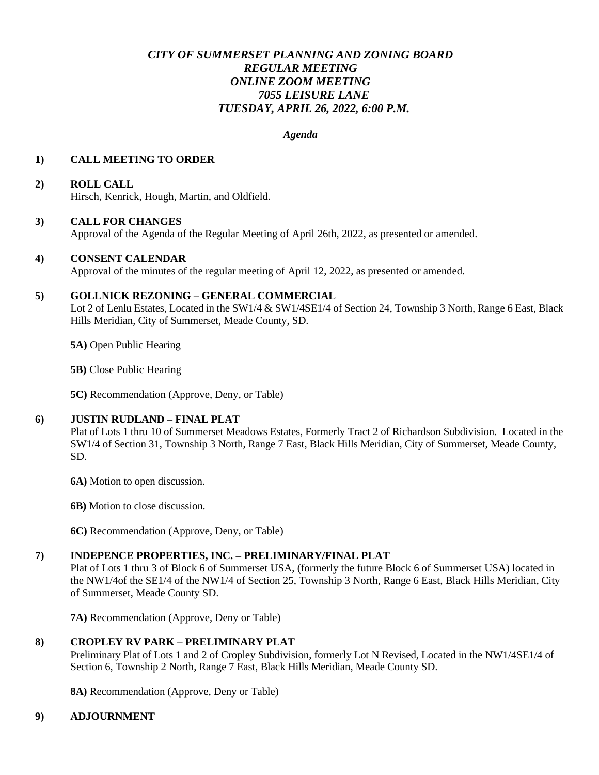# *CITY OF SUMMERSET PLANNING AND ZONING BOARD REGULAR MEETING ONLINE ZOOM MEETING 7055 LEISURE LANE TUESDAY, APRIL 26, 2022, 6:00 P.M.*

#### *Agenda*

### **1) CALL MEETING TO ORDER**

### **2) ROLL CALL**

Hirsch, Kenrick, Hough, Martin, and Oldfield.

#### **3) CALL FOR CHANGES**

Approval of the Agenda of the Regular Meeting of April 26th, 2022, as presented or amended.

### **4) CONSENT CALENDAR**

Approval of the minutes of the regular meeting of April 12, 2022, as presented or amended.

### **5) GOLLNICK REZONING – GENERAL COMMERCIAL**

Lot 2 of Lenlu Estates, Located in the SW1/4 & SW1/4SE1/4 of Section 24, Township 3 North, Range 6 East, Black Hills Meridian, City of Summerset, Meade County, SD.

**5A)** Open Public Hearing

**5B)** Close Public Hearing

**5C)** Recommendation (Approve, Deny, or Table)

#### **6) JUSTIN RUDLAND – FINAL PLAT**

Plat of Lots 1 thru 10 of Summerset Meadows Estates, Formerly Tract 2 of Richardson Subdivision. Located in the SW1/4 of Section 31, Township 3 North, Range 7 East, Black Hills Meridian, City of Summerset, Meade County, SD.

**6A)** Motion to open discussion.

**6B)** Motion to close discussion.

**6C)** Recommendation (Approve, Deny, or Table)

## **7) INDEPENCE PROPERTIES, INC. – PRELIMINARY/FINAL PLAT**

Plat of Lots 1 thru 3 of Block 6 of Summerset USA, (formerly the future Block 6 of Summerset USA) located in the NW1/4of the SE1/4 of the NW1/4 of Section 25, Township 3 North, Range 6 East, Black Hills Meridian, City of Summerset, Meade County SD.

**7A)** Recommendation (Approve, Deny or Table)

## **8) CROPLEY RV PARK – PRELIMINARY PLAT**

Preliminary Plat of Lots 1 and 2 of Cropley Subdivision, formerly Lot N Revised, Located in the NW1/4SE1/4 of Section 6, Township 2 North, Range 7 East, Black Hills Meridian, Meade County SD.

**8A)** Recommendation (Approve, Deny or Table)

#### **9) ADJOURNMENT**